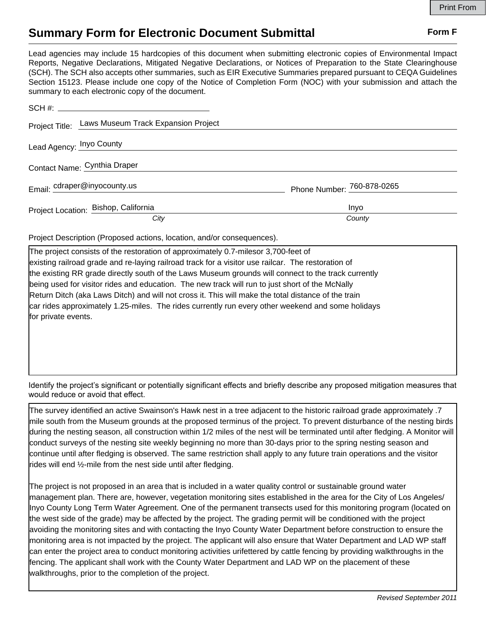## **Summary Form for Electronic Document Submittal Form F Form F**

Lead agencies may include 15 hardcopies of this document when submitting electronic copies of Environmental Impact Reports, Negative Declarations, Mitigated Negative Declarations, or Notices of Preparation to the State Clearinghouse (SCH). The SCH also accepts other summaries, such as EIR Executive Summaries prepared pursuant to CEQA Guidelines Section 15123. Please include one copy of the Notice of Completion Form (NOC) with your submission and attach the summary to each electronic copy of the document.

| Project Title: Laws Museum Track Expansion Project |                            |
|----------------------------------------------------|----------------------------|
| Lead Agency: Inyo County                           |                            |
| Contact Name: Cynthia Draper                       |                            |
| Email: cdraper@inyocounty.us                       | Phone Number: 760-878-0265 |
| Project Location: Bishop, California               | Inyo                       |
| City                                               | County                     |

Project Description (Proposed actions, location, and/or consequences).

The project consists of the restoration of approximately 0.7-milesor 3,700-feet of existing railroad grade and re-laying railroad track for a visitor use railcar. The restoration of the existing RR grade directly south of the Laws Museum grounds will connect to the track currently being used for visitor rides and education. The new track will run to just short of the McNally Return Ditch (aka Laws Ditch) and will not cross it. This will make the total distance of the train car rides approximately 1.25-miles. The rides currently run every other weekend and some holidays for private events.

Identify the project's significant or potentially significant effects and briefly describe any proposed mitigation measures that would reduce or avoid that effect.

The survey identified an active Swainson's Hawk nest in a tree adjacent to the historic railroad grade approximately .7 mile south from the Museum grounds at the proposed terminus of the project. To prevent disturbance of the nesting birds during the nesting season, all construction within 1/2 miles of the nest will be terminated until after fledging. A Monitor will conduct surveys of the nesting site weekly beginning no more than 30-days prior to the spring nesting season and continue until after fledging is observed. The same restriction shall apply to any future train operations and the visitor rides will end 1/<sub>2</sub>-mile from the nest side until after fledging.

The project is not proposed in an area that is included in a water quality control or sustainable ground water management plan. There are, however, vegetation monitoring sites established in the area for the City of Los Angeles/ Inyo County Long Term Water Agreement. One of the permanent transects used for this monitoring program (located on the west side of the grade) may be affected by the project. The grading permit will be conditioned with the project avoiding the monitoring sites and with contacting the Inyo County Water Department before construction to ensure the monitoring area is not impacted by the project. The applicant will also ensure that Water Department and LAD WP staff can enter the project area to conduct monitoring activities urifettered by cattle fencing by providing walkthroughs in the fencing. The applicant shall work with the County Water Department and LAD WP on the placement of these walkthroughs, prior to the completion of the project.